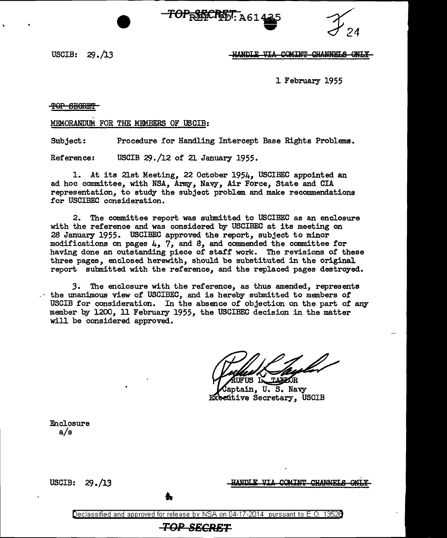$-TOP_{\widetilde{R}}$  and  $R_{\widetilde{B}}$   $\widetilde{T}_{\rm A614}$ **135** 



USCIB: *2S.* /13

## HANDLE VIA COMINT CHANNELS ONLY

1 February 1955

TOP SECRET

MEMORANDUM FOR THE MEMBERS OF USCIB:

Subject: Procedure for Handling Intercept Base Rights Problems.

Reference: USCIB  $29. / 12$  of 21 January 1955.

1. At its 21st Meeting, 22 October 1954, USCIBEC appointed an ad hoc committee, with NSA, Army, Navy, Air Force, State and CIA representation, to study the subject problem and make recommendations for USCIBEC consideration.

2. The committee report was submitted to USCIBEC as an enclosure with the reference and was considered by USCIBEC at its meeting on 28 January 1955. USCIBEC approved the report, subject to minor modifications on pages 4, 7, and *S,* and commended the committee for having done an outstanding piece of staff work. The revisions of these three pages, enclosed herewith, should be substituted in the original report submitted with the reference, and the replaced pages destroyed.

3. The enclosure with the reference, as thus amended, represents the unanimous view of USCIBEC, and is hereby submitted to members of USCIB for consideration. In the absence of objection on the part of any member by 1200, ll February 1955, the USCIBEC decision in the matter will be considered approved.

FUS IN TAXAOR

aptain, U. S. Navy **Executive Secretary, USCIB** 

Enclosure a/s

USCIB: *2S* • /13

<u>COMTNT</u> **CHANNELS ONLY** 

Declassified and approved for release by NSA on 04-17-2014 pursuant to E.O. 1352B

**TOP SECRET**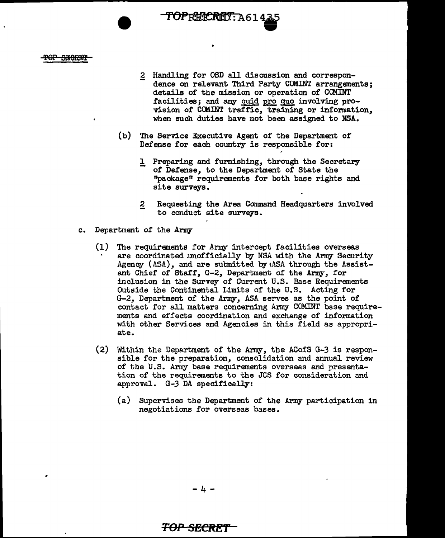#### T<del>OP SECRET</del>

2 Handling for OSD all discussion and correspondence on relevant Third Party COMINT arrangements; details of the mission or operation of COMINT facilities; and any guid pro quo involving provision of COMINT traffic, training or information, when such duties have not been assigned to NSA.

-

(b) The Service Executive Agent of the Department of Defense for each country is responsible for:

TOPRBERET: A61435

- 1 Preparing and furnishing, through the Secretary of Defense, to the Department of State the "package" requirements for both base rights and site surveys.
- 2 Requesting the Area Command Headquarters involved to conduct site surveys.
- c. Department of the Army
	- (1) The requirements for Army intercept facilities overseas are coordinated unofficially by NSA with the Army Security Agency  $(ASA)$ , and are submitted by  $ASA$  through the Assistant Chief of Staff, G-2, Department of the Army, for inclusion in the Survey of Current U.S. Base Requirements Outside the Continental Limits of the U.S. Acting for G-2, Department of the Army, ASA serves as the point of contact for all matters concerning Army COMINT base requirements and effects coordination and exchange of information with other Services and Agencies in this field as appropriate.
	- (2) Within the Department of the Army, the ACofS G-3 is responsible for the preparation, consolidation and annual review of the U.S. Army base requirements overseas and presentation of the requirements to the JCS for consideration and approval. G-3 DA specifically:
		- (a) Supervises the Department of the Army participation in negotiations for overseas bases.

-4-

# **TOP SECRET**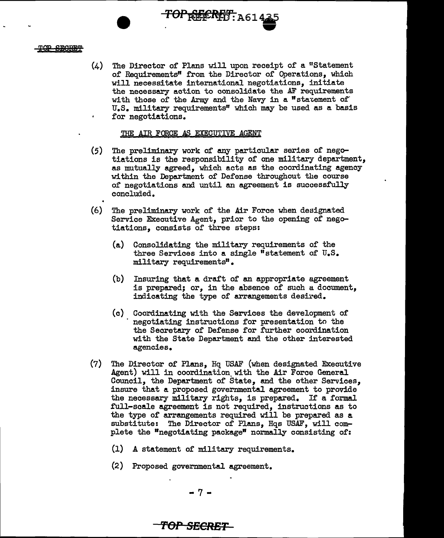#### TOP SECRET

 $(4)$  The Director of Plans will upon receipt of a "Statement" of Requirements" from the Director of Operations, which will necessitate international negotiations, initiate the necessary action to consolidate the AF requirements with those of the Army and the Navy in a "statement of" U.S. military requirements" which may be used as a basis for negotiations.

TOPREERET: A614

**W'** 

#### THE AIR FORCE AS EXECUTIVE AGENT

- (5) The preliminary work of any particular series of negotiations is the responsibility of one military department, as mutually agreed, which acts as the coordinating agency within the Department of Defense throughout the course of negotiations and until an agreement is successfully concluded.
- (6) The preliminary work of the Air Force when designated Service Executive Agent, prior to the opening of negotiations, consists of three steps:
	- (a) Consolidating the military requirements of the three Services into a single "statement of U.S. military requirements".
	- (b) Insuring that a draft of an appropriate agreement is prepared; or, in the absence of such a document, indicating the type of arrangements desired.
	- (c) Coordinating with the Services the development of negotiating instructions for presentation to the the Secretary of Defense for further coordination with the State Department and the other interested agencies.
- (7) The Director of Plans, Hq USAF (when designated Executive Agent) will in coordination with the Air Force General Council, the Department of State, and the other Services, insure that a proposed governmental agreement to provide the necessary military rights, is prepared. If a formal full-scale agreement is not required, instructions as to the type of arrangements required will be prepared as a substitute: The Director of Plans, Hqs USAF, will complete the "negotiating package" normally consisting of:
	- (1) A statement of military requirements.
	- (2) Proposed governmental agreement.

# **'l'Of'** *SECRET*